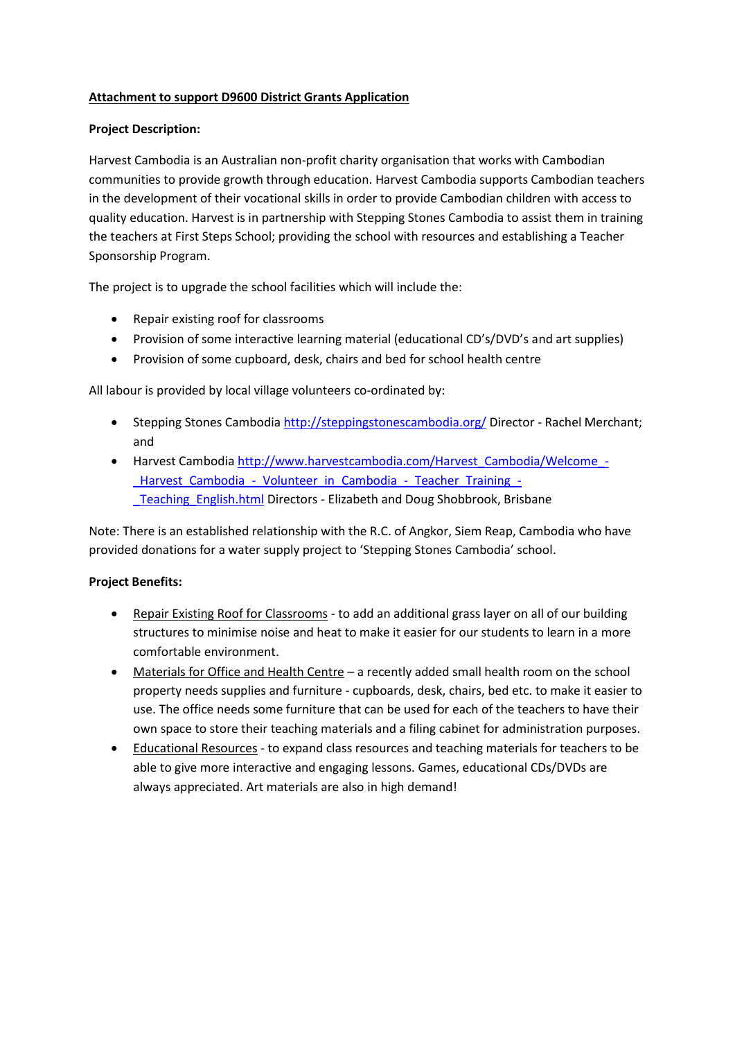# **Attachment to support D9600 District Grants Application**

### **Project Description:**

Harvest Cambodia is an Australian non-profit charity organisation that works with Cambodian communities to provide growth through education. Harvest Cambodia supports Cambodian teachers in the development of their vocational skills in order to provide Cambodian children with access to quality education. Harvest is in partnership with Stepping Stones Cambodia to assist them in training the teachers at First Steps School; providing the school with resources and establishing a Teacher Sponsorship Program.

The project is to upgrade the school facilities which will include the:

- Repair existing roof for classrooms
- Provision of some interactive learning material (educational CD's/DVD's and art supplies)
- Provision of some cupboard, desk, chairs and bed for school health centre

All labour is provided by local village volunteers co-ordinated by:

- Stepping Stones Cambodia <http://steppingstonescambodia.org/> Director Rachel Merchant; and
- Harvest Cambodia [http://www.harvestcambodia.com/Harvest\\_Cambodia/Welcome\\_-](http://www.harvestcambodia.com/Harvest_Cambodia/Welcome_-_Harvest_Cambodia_-_Volunteer_in_Cambodia_-_Teacher_Training_-_Teaching_English.html) Harvest Cambodia - Volunteer in Cambodia - Teacher Training -Teaching English.html Directors - Elizabeth and Doug Shobbrook, Brisbane

Note: There is an established relationship with the R.C. of Angkor, Siem Reap, Cambodia who have provided donations for a water supply project to 'Stepping Stones Cambodia' school.

#### **Project Benefits:**

- Repair Existing Roof for Classrooms to add an additional grass layer on all of our building structures to minimise noise and heat to make it easier for our students to learn in a more comfortable environment.
- Materials for Office and Health Centre a recently added small health room on the school property needs supplies and furniture - cupboards, desk, chairs, bed etc. to make it easier to use. The office needs some furniture that can be used for each of the teachers to have their own space to store their teaching materials and a filing cabinet for administration purposes.
- Educational Resources to expand class resources and teaching materials for teachers to be able to give more interactive and engaging lessons. Games, educational CDs/DVDs are always appreciated. Art materials are also in high demand!